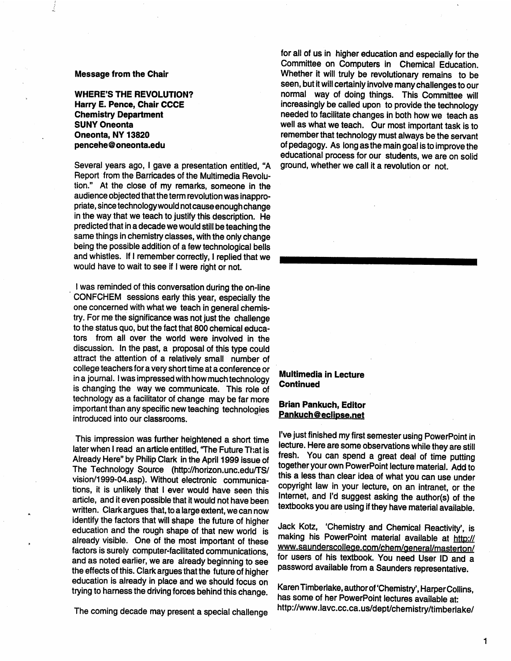### Message from the Chair

WHERE'S THE REVOLUTION? Harry E. Pence, Chair CCCE Chemistry Department SUNY Oneonta Oneonta, NY 13820 pencehe@oneonta.edu

Several years ago, I gave a presentation entitled, "A Report ·from the Barricades of the Multimedia Revolution." At the close of my remarks, someone in the audience objected that the term revolution was inappropriate, since technology would not cause enough change in the way that we teach to justify this description. He predicted that in a decade we would still be teaching the same things in chemistry classes, with the only change being the possible addition of a few technological bells and whistles. If I remember correctly, I replied that we would have to wait to see if I were right or not.

. I was reminded of this conversation during the on-line CONFCHEM sessions early this year, especially the one concerned with what we teach in general chemistry. For me the significance was not just the challenge to the status quo, but the fact that 800 chemical educators from all over the world were involved in the discussion. In the past, a proposal of this type could attract the attention of a relatively small number of college teachers for a very short time at a conference or in a journal. I was impressed with how much technology is changing the way we communicate. This role of technology as a facilitator of change may be far more important than any specific new teaching technologies introduced into our classrooms.

This impression was further heightened a short time later when I read an article entitled, "The Future That is Already Here" by Philip Clark in the April 1999 issue of The Technology Source (http://horizon.unc.edu/TS/ vision/1999-04.asp). Without electronic communications, it is unlikely that I ever would have seen this article, and it even possible that it would not have been written. Clark argues that, to a large extent, we can now identify the factors that will shape the future of higher education and the rough shape of that new world is already visible. One of the most important of these factors is surely computer-facilitated communications, and as noted earlier, we are already beginning to see the effects of this. Clark argues that the future of higher education is already in place and we should focus on trying to harness the driving forces behind this change.

for all of us in higher education and especially for the Committee on Computers in Chemical Education. Whether it will truly be revolutionary remains to be seen, but it will certainly involve many challenges to our normal way of doing things. This Committee will increasingly be called upon to provide the technology needed to facilitate changes in both how we teach as well as what we teach. Our most important task is to remember that technology must always be the servant of pedagogy. As long as the main goal is to improve the educational process for our students, we are on solid ground, whether we call it a revolution or not.

## Multimedia in Lecture Continued

# Brian Pankuch, Editor Pankuch@eclipse.net

I've just finished my first semester using PowerPoint in lecture. Here are some observations while they are still fresh. You can spend a great deal of time putting together your own PowerPoint lecture material. Add to this a less than clear idea of what you can use under copyright law in your lecture, on an intranet, or the Internet, and I'd suggest asking the author(s) of the textbooks you are using if they have material available.

Jack Kotz, 'Chemistry and Chemical Reactivity', is making his PowerPoint material available at http:// www.saunderscollege.com/chem/general/masterton/ for users of his textbook. You need User ID and <sup>a</sup> password available from a Saunders representative.

Karen Timberlake, author of 'Chemistry', Harper Collins, has some of her PowerPoint lectures available at: The coming decade may present a special challenge http://www.lavc.cc.ca.us/dept/chemistry/timberlake/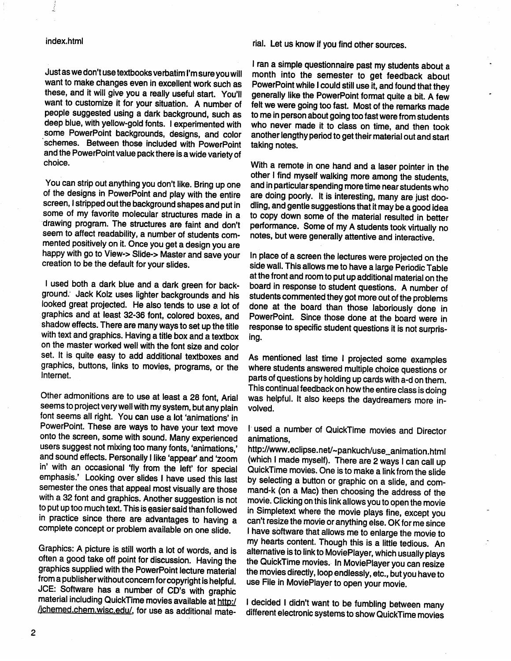## index.html

Just as we don't use textbooks verbatim I'm sure you will want to make changes even in excellent work such as these, and it will give you a really useful start. You'll want to customize it for your situation. A number of people suggested using a dark background, such as deep blue, with yellow-gold fonts. I experimented with some PowerPoint backgrounds, designs, and color ·schemes. Between those included with PowerPoint and the PowerPoint value pack there is a wide variety of choice.

You can strip out anything you don't like. Bring up one of the designs in PowerPoint and play with the entire screen, I stripped out the background shapes and put in some of my favorite molecular structures made in <sup>a</sup> ·drawing program. The structures are faint and don't seem to affect readability, a number of students commented positively on it. Once you get a design you are happy with go to View-> Slide-> Master and save your creation to be the default for your slides.

<sup>I</sup>used both a dark blue and a dark green for background: Jack Kolz uses lighter backgrounds and his looked great projected. He also tends to use a. lot of graphics and at least 32-36 font, colored boxes, and shadow effects. There are many ways to set up the title with text and graphics. Having a title box and a textbox on the master worked well with the font size and color set. It is quite easy to add additional textboxes and graphics, buttons, links to movies, programs, or the Internet.

Other admonitions are to use at least a 28 font, Arial seems to project very well with my system, but any plain font seems all right. You can use a lot 'animations' in PowerPoint. These are ways to have your text move onto the screen, some with sound. Many experienced users suggest not mixing too many fonts, 'animations,' and sound effects. Personally I like 'appear' and 'zoom in' with an occasional 'fly from the left' for special emphasis.' Looking over slides I have used this last semester the ones that appeal most visually are those with a 32 font and graphics. Another suggestion is not to put up too much text. This is gasier said than followed in practice since there are advantages to having <sup>a</sup> complete concept or problem available on one slide.

Graphics: A picture is still worth a lot of words, and is often a good take off point for discussion. Having the graphics supplied with the PowerPoint lecture material from a publisher without concern for copyright is helpful. JCE: Software has a number of CO's with graphic material including QuickTime movies available at http:/ /jchemed.chem.wisc.edu/, for use as additional material. Let us know if you find other sources.

<sup>I</sup>ran a simple questionnaire past my students about a month into the semester to get feedback about PowerPoint while I could still use it, and found that they generally like the PowerPoint format quite a bit. A few felt we were going too fast. Most of the remarks made to me in person about going too fast were from students who never made it to class on time, and then took another lengthy period to get their material out and start taking notes.

With a remote in one hand and a laser pointer in the other I find myself walking more among the students, and in particular spending more time near students who are doing poorly. It is interesting, many are just doodling, and gentle suggestions that it may be a good idea to copy down some of the material resulted in better performance. Some of my A students took virtually no notes, but were generally attentive and interactive.

In place of a screen the lectures were projected on the side wall. This allows me to have a large Periodic Table at the front and room to put up additional material on the board in response to student questions. A number of students commented they got more out of the problems done at the board than those laboriously done in PowerPoint. Since those done at the board were in response to specific student questions it is not surprising.

As mentioned last time I projected some examples where students answered multiple choice questions or parts of questions by holding up cards with a-d on them. This continual feedback on how the entire class is doing was helpful. It also keeps the daydreamers more involved.

1· used a number of QuickTime movies and Director animations,

http://www .eclipse.net/-pankuch/use\_animation.html (which I made myself). There are 2 ways I can call up Quick Time movies. One is to make a link from the slide by selecting a button or graphic on a slide, and command-k (on a Mac) then choosing the address of the movie. Clicking on this link allows you to open the movie in Simpletext where the movie plays fine, except you can't resize the movie or anything else. OK for me since <sup>I</sup>have software that allows me to enlarge the movie to my hearts content. Though this is a little tedious. An alternative is to link to MoviePiayer, which usually plays the QuickTime movies. In MoviePlayer you can resize the movies directly, loop endlessly, etc., but you have to use File in MoviePiayer to open your movie.

I decided I didn't want to be fumbling between many different electronic systems to show Quick Time movies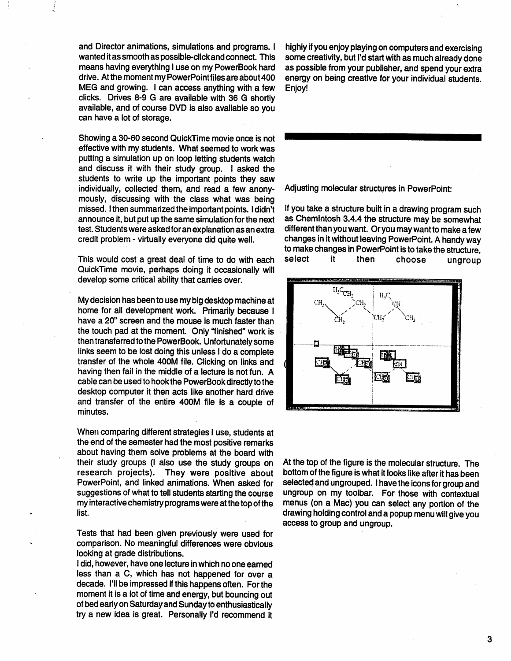and Director animations, simulations and programs. I wanted it as smooth as possible-click and connect. This means having everything I use on my PowerBook hard drive. At the moment my PowerPointfiles are about 400 MEG and growing. I can access anything with a few clicks. Drives 8-9 G are available with 36 G shortly available, and of course DVD is also available so you can have a lot of storage.

Showing a 30-60 second QuickTime movie once is not effective with my students. What seemed to work was putting a simulation up on loop letting students watch and discuss it with their study group. I asked the students to write up the important points they saw individually, collected them, and read a few anonymously, discussing with the class what was being missed. I then summarized the important points. I didn't announce it, but put up the same simulation for the next test. Students were asked for an explanation as an extra credit problem - virtually everyone did quite well.

This would cost a great deal of time to do with each QuickTime movie, perhaps doing it occasionally will develop some critical ability that carries over.

My decision has been to use my big desktop machine at home for all development work. Primarily because I have a 20" screen and the mouse is much faster than the touch pad at the moment. Only "finished" work is then transferred to the PowerBook. Unfortunately some links seem to be lost doing this unless I do a complete transfer of the whole 400M file. Clicking on links and having then fail in the middle of a lecture is not fun. A cable can be used to hook the PowerBook directly to the desktop computer it then acts like another hard drive and transfer of the entire 400M file is a couple of minutes.

When comparing different strategies I use, students at the end of the semester had the most positive remarks about having them solve problems at the board with their study groups (I also use the study groups on research projects). They were positive about PowerPoint, and linked animations. When asked for suggestions of what to tell students starting the course my interactive chemistry programs were at the top of the list.

Tests that had been given previously were used for comparison. No meaningful differences were obvious looking at grade distributions.

I did, however, have one lecture in which no one earned less than a C, which has not happened for over <sup>a</sup> decade. I'll be impressed if this happens often. For the moment it is a lot of time and energy, but bouncing out of bed early on Saturday and Sunday to enthusiastically try a new idea is great. Personally I'd recommend it

highly if you enjoy playing on computers and exercising some creativity, but I'd start with as much already done as possible from your publisher, and spend your extra energy on being creative for your individual students. Enjoy!

Adjusting molecular structures in PowerPoint:

If you take a structure built in a drawing program such as Chemlntosh 3.4.4 the structure may be somewhat different than you want. Or you may want to make a few changes in it without leaving PowerPoint. A handy way to make changes in PowerPoint is to take the structure, select it then choose ungroup



At the top of the figure is the molecular structure. The bottom of the figure is what it looks like after it has been selected and ungrouped. I have the icons for group and ungroup on my toolbar. For those with contextual menus (on a Mac) you can select any portion of the drawing holding control and a popup menu will give you access to group and ungroup.